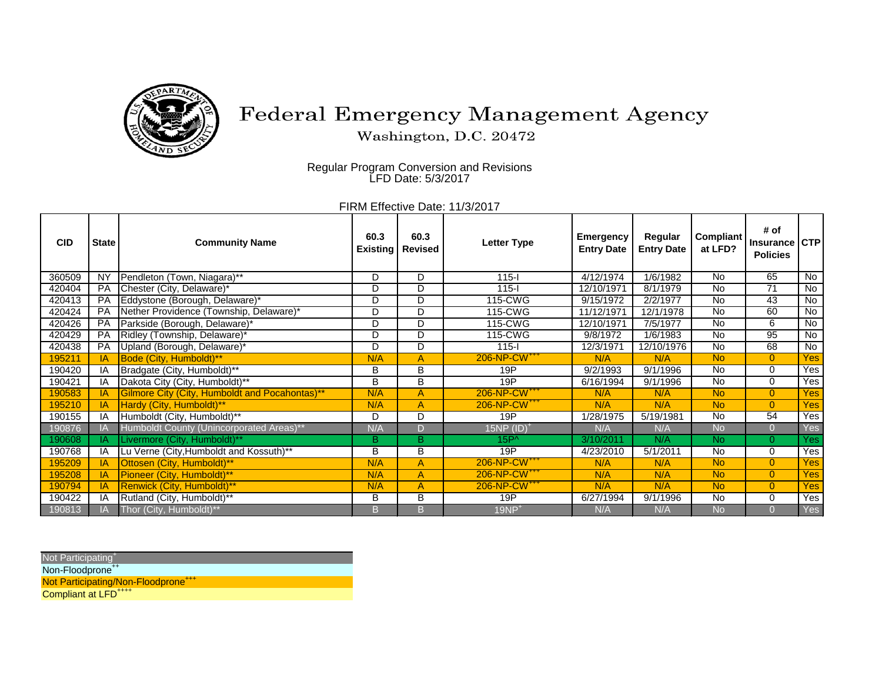

## Federal Emergency Management Agency

Washington, D.C. 20472

Regular Program Conversion and Revisions LFD Date: 5/3/2017

FIRM Effective Date: 11/3/2017

| <b>CID</b> | <b>State</b> | <b>Community Name</b>                          | 60.3<br><b>Existing</b> | 60.3<br><b>Revised</b>  | <b>Letter Type</b>       | <b>Emergency</b><br><b>Entry Date</b> | Regular<br><b>Entry Date</b> | <b>Compliant</b><br>at LFD? | # of<br><b>Insurance</b><br><b>Policies</b> | <b>CTP</b>       |
|------------|--------------|------------------------------------------------|-------------------------|-------------------------|--------------------------|---------------------------------------|------------------------------|-----------------------------|---------------------------------------------|------------------|
| 360509     | <b>NY</b>    | Pendleton (Town, Niagara)**                    | D                       | D                       | $115-I$                  | 4/12/1974                             | 1/6/1982                     | <b>No</b>                   | 65                                          | $\overline{N}$   |
| 420404     | PA           | Chester (City, Delaware)*                      | D                       | D                       | $115-I$                  | 12/10/1971                            | 8/1/1979                     | No                          | 71                                          | $\overline{N}$   |
| 420413     | PA           | Eddystone (Borough, Delaware)*                 | D                       | $\overline{D}$          | 115-CWG                  | 9/15/1972                             | 2/2/1977                     | No                          | 43                                          | No               |
| 420424     | PA           | Nether Providence (Township, Delaware)*        | D                       | D                       | 115-CWG                  | 11/12/1971                            | 12/1/1978                    | <b>No</b>                   | 60                                          | No               |
| 420426     | PA           | Parkside (Borough, Delaware)*                  | D                       | $\overline{D}$          | 115-CWG                  | 12/10/1971                            | 7/5/1977                     | $\overline{N}$              | 6                                           | No               |
| 420429     | PA           | Ridley (Township, Delaware)*                   | D                       | $\overline{D}$          | 115-CWG                  | 9/8/1972                              | 1/6/1983                     | $\overline{N}$              | 95                                          | No               |
| 420438     | <b>PA</b>    | Upland (Borough, Delaware)*                    | D                       | $\overline{\mathsf{D}}$ | $115 -$                  | 12/3/1971                             | 12/10/1976                   | $\overline{N}$              | 68                                          | No               |
| 195211     | IA.          | Bode (City, Humboldt)**                        | N/A                     | $\overline{A}$          | 206-NP-CW <sup>+++</sup> | N/A                                   | N/A                          | <b>No</b>                   | $\overline{0}$                              | Yes              |
| 190420     | ΙA           | Bradgate (City, Humboldt)**                    | В                       | B                       | 19P                      | 9/2/1993                              | 9/1/1996                     | <b>No</b>                   | $\Omega$                                    | Yes              |
| 190421     | ΙA           | Dakota City (City, Humboldt)**                 | $\overline{B}$          | B                       | 19P                      | 6/16/1994                             | 9/1/1996                     | <b>No</b>                   | 0                                           | Yes <sup>1</sup> |
| 190583     | ΙA           | Gilmore City (City, Humboldt and Pocahontas)** | N/A                     | A                       | 206-NP-CW <sup>+++</sup> | N/A                                   | N/A                          | <b>No</b>                   | $\overline{0}$                              | Yes <sub>l</sub> |
| 195210     | ΙA           | Hardy (City, Humboldt)**                       | N/A                     | A                       | 206-NP-CW <sup>+++</sup> | N/A                                   | N/A                          | <b>No</b>                   | $\overline{0}$                              | Yes              |
| 190155     | IA           | Humboldt (City, Humboldt)**                    | D                       | $\overline{D}$          | 19P                      | 1/28/1975                             | 5/19/1981                    | $\overline{N}$              | 54                                          | Yes              |
| 190876     | ΙA           | Humboldt County (Unincorporated Areas)**       | N/A                     | D                       | $15NP$ $(ID)^+$          | N/A                                   | N/A                          | <b>No</b>                   | $\overline{0}$                              | Yes              |
| 190608     | IA.          | Livermore (City, Humboldt)**                   | $\overline{B}$          | $\overline{\mathsf{B}}$ | $15P^{\wedge}$           | 3/10/2011                             | N/A                          | <b>No</b>                   | $\overline{0}$                              | <b>Yes</b>       |
| 190768     | ΙA           | Lu Verne (City, Humboldt and Kossuth)**        | $\overline{B}$          | $\overline{\mathsf{B}}$ | 19P                      | 4/23/2010                             | 5/1/2011                     | $\overline{N}$              | $\Omega$                                    | Yes              |
| 195209     | ΙA           | Ottosen (City, Humboldt)**                     | N/A                     | A                       | 206-NP-CW <sup>+++</sup> | N/A                                   | N/A                          | <b>No</b>                   | $\overline{0}$                              | Yes              |
| 195208     | IA           | Pioneer (City, Humboldt)**                     | N/A                     | A                       | 206-NP-CW <sup>+++</sup> | N/A                                   | N/A                          | <b>No</b>                   | $\overline{0}$                              | Yes <sup>1</sup> |
| 190794     | ΙA           | Renwick (City, Humboldt)**                     | N/A                     | A                       | 206-NP-CW <sup>+++</sup> | N/A                                   | N/A                          | <b>No</b>                   | $\overline{0}$                              | Yes              |
| 190422     | ΙA           | Rutland (City, Humboldt)**                     | В                       | $\overline{\mathsf{B}}$ | 19P                      | 6/27/1994                             | 9/1/1996                     | No                          | $\Omega$                                    | Yes              |
| 190813     | IA.          | Thor (City, Humboldt)**                        | B.                      | B                       | $19NP+$                  | N/A                                   | N/A                          | <b>No</b>                   | $\Omega$                                    | Yes              |

Not Participating<sup>+</sup> Non-Floodprone<sup>++</sup> Not Participating/Non-Floodprone<sup>+++</sup>

Compliant at LFD<sup>++++</sup>